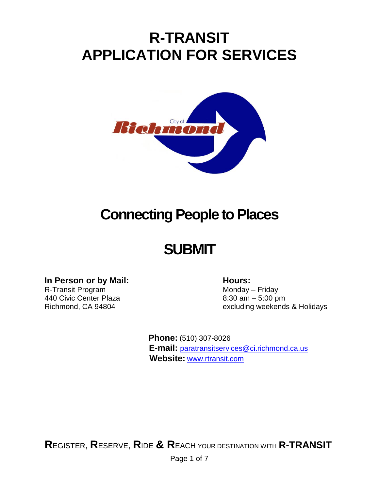# **R-TRANSIT APPLICATION FOR SERVICES**



# **Connecting People to Places**

# **SUBMIT**

# **In** Person or by Mail: **Hours:**

R-Transit Program Monday – Friday 440 Civic Center Plaza 8:30 am – 5:00 pm

Richmond, CA 94804 excluding weekends & Holidays

 **Phone:** (510) 307-8026  **E-mail:** [paratransitservices@ci.richmond.ca.us](mailto:paratransitservices@ci.richmond.ca.us)  **Website:** [www.rtransit.com](http://www.rtransit.com/)

**R**EGISTER, **R**ESERVE, **R**IDE **& R**EACH YOUR DESTINATION WITH **R**-**TRANSIT**

Page 1 of 7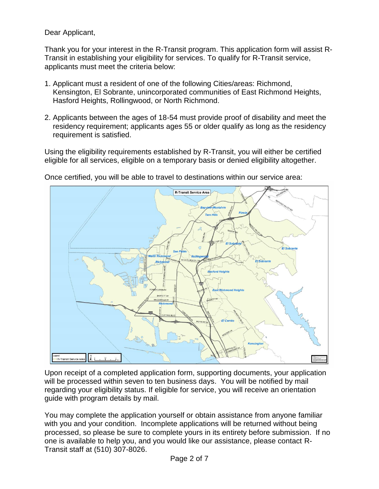Dear Applicant,

Thank you for your interest in the R-Transit program. This application form will assist R-Transit in establishing your eligibility for services. To qualify for R-Transit service, applicants must meet the criteria below:

- 1. Applicant must a resident of one of the following Cities/areas: Richmond, Kensington, El Sobrante, unincorporated communities of East Richmond Heights, Hasford Heights, Rollingwood, or North Richmond.
- 2. Applicants between the ages of 18-54 must provide proof of disability and meet the residency requirement; applicants ages 55 or older qualify as long as the residency requirement is satisfied.

Using the eligibility requirements established by R-Transit, you will either be certified eligible for all services, eligible on a temporary basis or denied eligibility altogether.



Once certified, you will be able to travel to destinations within our service area:

Upon receipt of a completed application form, supporting documents, your application will be processed within seven to ten business days. You will be notified by mail regarding your eligibility status. If eligible for service, you will receive an orientation guide with program details by mail.

You may complete the application yourself or obtain assistance from anyone familiar with you and your condition. Incomplete applications will be returned without being processed, so please be sure to complete yours in its entirety before submission. If no one is available to help you, and you would like our assistance, please contact R-Transit staff at (510) 307-8026.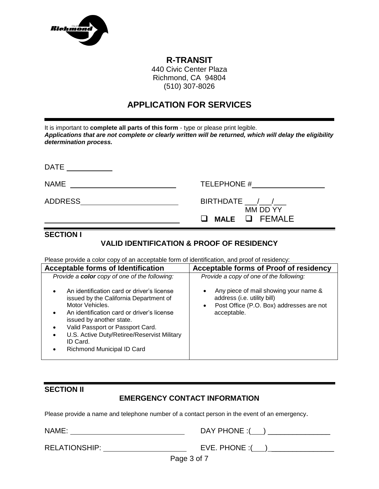

# **R-TRANSIT**

440 Civic Center Plaza Richmond, CA 94804 (510) 307-8026

# **APPLICATION FOR SERVICES**

| It is important to complete all parts of this form - type or please print legible.<br>Applications that are not complete or clearly written will be returned, which will delay the eligibility<br>determination process. |               |  |  |  |
|--------------------------------------------------------------------------------------------------------------------------------------------------------------------------------------------------------------------------|---------------|--|--|--|
| DATE                                                                                                                                                                                                                     |               |  |  |  |
| <b>NAME</b>                                                                                                                                                                                                              | TELEPHONE #   |  |  |  |
| <b>ADDRESS</b>                                                                                                                                                                                                           | BIRTHDATE / / |  |  |  |

### **SECTION I**

### **VALID IDENTIFICATION & PROOF OF RESIDENCY**

MM DD YY

**MALE** FEMALE

Please provide a color copy of an acceptable form of identification, and proof of residency:

| <b>Acceptable forms of Identification</b>                                                                                                                                                                                                                                                                      | Acceptable forms of Proof of residency                                                                                          |
|----------------------------------------------------------------------------------------------------------------------------------------------------------------------------------------------------------------------------------------------------------------------------------------------------------------|---------------------------------------------------------------------------------------------------------------------------------|
| Provide a color copy of one of the following:                                                                                                                                                                                                                                                                  | Provide a copy of one of the following:                                                                                         |
| An identification card or driver's license<br>issued by the California Department of<br>Motor Vehicles.<br>An identification card or driver's license<br>issued by another state.<br>Valid Passport or Passport Card.<br>U.S. Active Duty/Retiree/Reservist Military<br>ID Card.<br>Richmond Municipal ID Card | Any piece of mail showing your name &<br>address (i.e. utility bill)<br>Post Office (P.O. Box) addresses are not<br>acceptable. |

### **SECTION II**

# **EMERGENCY CONTACT INFORMATION**

Please provide a name and telephone number of a contact person in the event of an emergency.

| NAME:                | DAY PHONE:    |
|----------------------|---------------|
| <b>RELATIONSHIP:</b> | EVE. PHONE: ( |
|                      | Page 3 of 7   |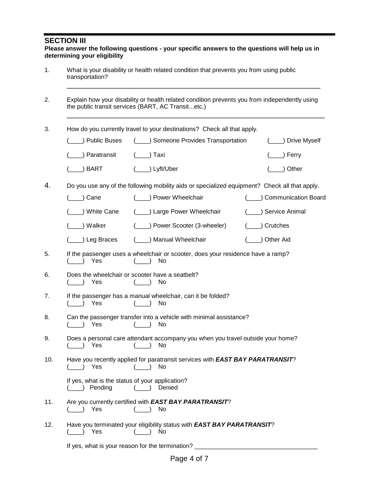#### **SECTION III**

| Please answer the following questions - your specific answers to the questions will help us in |
|------------------------------------------------------------------------------------------------|
| determining your eligibility                                                                   |

- 1. What is your disability or health related condition that prevents you from using public transportation?
- 2. Explain how your disability or health related condition prevents you from independently using the public transit services (BART, AC Transit...etc.)
- 3. How do you currently travel to your destinations? Check all that apply.

| ( ) Paratransit ( ) Taxi |                    | ( ) Ferry      |
|--------------------------|--------------------|----------------|
| ) BART<br>(              | $(\_\_)$ Lyft/Uber | $(\_\_)$ Other |

\_\_\_\_\_\_\_\_\_\_\_\_\_\_\_\_\_\_\_\_\_\_\_\_\_\_\_\_\_\_\_\_\_\_\_\_\_\_\_\_\_\_\_\_\_\_\_\_\_\_\_\_\_\_\_\_\_\_\_\_\_

\_\_\_\_\_\_\_\_\_\_\_\_\_\_\_\_\_\_\_\_\_\_\_\_\_\_\_\_\_\_\_\_\_\_\_\_\_\_\_\_\_\_\_\_\_\_\_\_\_\_\_\_\_\_\_\_\_\_\_\_\_\_

4. Do you use any of the following mobility aids or specialized equipment? Check all that apply.

| Cane ) | ) Power Wheelchair | (Communication Board |
|--------|--------------------|----------------------|
|--------|--------------------|----------------------|

(\_\_\_\_) White Cane (\_\_\_\_) Large Power Wheelchair (\_\_\_\_) Service Animal

|  | ا Walker | ) Power Scooter (3-wheeler) | Crutches |
|--|----------|-----------------------------|----------|
|--|----------|-----------------------------|----------|

- (\_\_\_\_) Leg Braces (\_\_\_\_) Manual Wheelchair (\_\_\_\_) Other Aid
- 5. If the passenger uses a wheelchair or scooter, does your residence have a ramp? (\_\_\_\_) Yes (\_\_\_\_) No
- 6. Does the wheelchair or scooter have a seatbelt? (\_\_\_\_) Yes (\_\_\_\_) No
- 7. If the passenger has a manual wheelchair, can it be folded? (\_\_\_\_) Yes (\_\_\_\_) No
- 8. Can the passenger transfer into a vehicle with minimal assistance? (\_\_\_\_) Yes (\_\_\_\_) No
- 9. Does a personal care attendant accompany you when you travel outside your home? (\_\_\_\_) Yes (\_\_\_\_) No
- 10. Have you recently applied for paratransit services with *EAST BAY PARATRANSIT*?  $($   $)$  Yes  $($   $)$  No

| If yes, what is the status of your application? |  |
|-------------------------------------------------|--|
| (____) Pending                                  |  |

- 11. Are you currently certified with *EAST BAY PARATRANSIT*? (\_\_\_\_) Yes (\_\_\_\_) No
- 12. Have you terminated your eligibility status with *EAST BAY PARATRANSIT*? (\_\_\_\_) Yes (\_\_\_\_) No

If yes, what is your reason for the termination?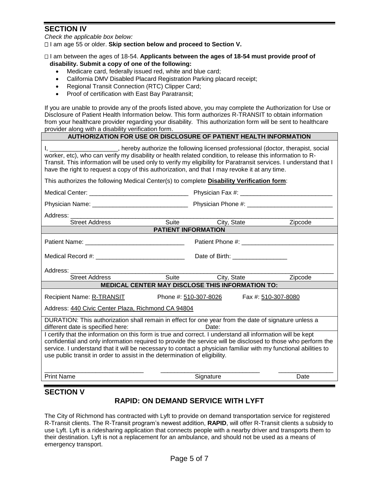# **SECTION IV**

*Check the applicable box below:*

I am age 55 or older. **Skip section below and proceed to Section V.** 

 I am between the ages of 18-54. **Applicants between the ages of 18-54 must provide proof of disability. Submit a copy of one of the following:**

- Medicare card, federally issued red, white and blue card;
- California DMV Disabled Placard Registration Parking placard receipt;
- Regional Transit Connection (RTC) Clipper Card;
- Proof of certification with East Bay Paratransit;

If you are unable to provide any of the proofs listed above, you may complete the Authorization for Use or Disclosure of Patient Health Information below. This form authorizes R-TRANSIT to obtain information from your healthcare provider regarding your disability. This authorization form will be sent to healthcare provider along with a disability verification form.

| AUTHORIZATION FOR USE OR DISCLOSURE OF PATIENT HEALTH INFORMATION |  |
|-------------------------------------------------------------------|--|
|                                                                   |  |

| I, _______________________, hereby authorize the following licensed professional (doctor, therapist, social<br>worker, etc), who can verify my disability or health related condition, to release this information to R-<br>Transit. This information will be used only to verify my eligibility for Paratransit services. I understand that I<br>have the right to request a copy of this authorization, and that I may revoke it at any time. |                            |                                                                 |         |  |  |
|-------------------------------------------------------------------------------------------------------------------------------------------------------------------------------------------------------------------------------------------------------------------------------------------------------------------------------------------------------------------------------------------------------------------------------------------------|----------------------------|-----------------------------------------------------------------|---------|--|--|
| This authorizes the following Medical Center(s) to complete <b>Disability Verification form</b> :                                                                                                                                                                                                                                                                                                                                               |                            |                                                                 |         |  |  |
|                                                                                                                                                                                                                                                                                                                                                                                                                                                 |                            |                                                                 |         |  |  |
|                                                                                                                                                                                                                                                                                                                                                                                                                                                 |                            |                                                                 |         |  |  |
| Address:<br>Street Address<br>Suite<br>Suite                                                                                                                                                                                                                                                                                                                                                                                                    |                            | City, State                                                     | Zipcode |  |  |
|                                                                                                                                                                                                                                                                                                                                                                                                                                                 | <b>PATIENT INFORMATION</b> |                                                                 |         |  |  |
|                                                                                                                                                                                                                                                                                                                                                                                                                                                 |                            |                                                                 |         |  |  |
|                                                                                                                                                                                                                                                                                                                                                                                                                                                 |                            | Date of Birth: ____________________                             |         |  |  |
| Address: ________                                                                                                                                                                                                                                                                                                                                                                                                                               |                            |                                                                 |         |  |  |
| <b>Street Address</b>                                                                                                                                                                                                                                                                                                                                                                                                                           | Suite                      | City, State<br>MEDICAL CENTER MAY DISCLOSE THIS INFORMATION TO: | Zipcode |  |  |
| Phone #: 510-307-8026<br>Fax #: 510-307-8080<br><b>Recipient Name: R-TRANSIT</b>                                                                                                                                                                                                                                                                                                                                                                |                            |                                                                 |         |  |  |
| Address: 440 Civic Center Plaza, Richmond CA 94804                                                                                                                                                                                                                                                                                                                                                                                              |                            |                                                                 |         |  |  |
| DURATION: This authorization shall remain in effect for one year from the date of signature unless a<br>different date is specified here:                                                                                                                                                                                                                                                                                                       |                            | Date:                                                           |         |  |  |
| I certify that the information on this form is true and correct. I understand all information will be kept<br>confidential and only information required to provide the service will be disclosed to those who perform the<br>service. I understand that it will be necessary to contact a physician familiar with my functional abilities to<br>use public transit in order to assist in the determination of eligibility.                     |                            |                                                                 |         |  |  |
| <b>Print Name</b>                                                                                                                                                                                                                                                                                                                                                                                                                               |                            | Signature                                                       | Date    |  |  |

### **SECTION V**

# **RAPID: ON DEMAND SERVICE WITH LYFT**

The City of Richmond has contracted with Lyft to provide on demand transportation service for registered R-Transit clients. The R-Transit program's newest addition, **RAPID**, will offer R-Transit clients a subsidy to use Lyft. Lyft is a ridesharing application that connects people with a nearby driver and transports them to their destination. Lyft is not a replacement for an ambulance, and should not be used as a means of emergency transport.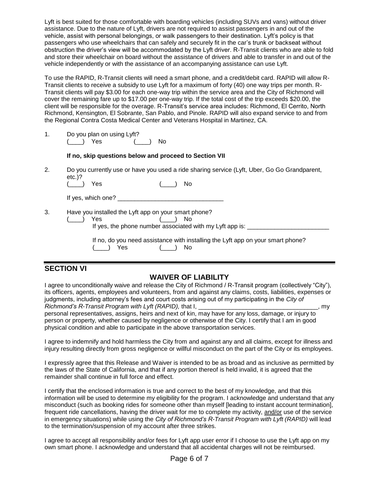Lyft is best suited for those comfortable with boarding vehicles (including SUVs and vans) without driver assistance. Due to the nature of Lyft, drivers are not required to assist passengers in and out of the vehicle, assist with personal belongings, or walk passengers to their destination. Lyft's policy is that passengers who use wheelchairs that can safely and securely fit in the car's trunk or backseat without obstruction the driver's view will be accommodated by the Lyft driver. R-Transit clients who are able to fold and store their wheelchair on board without the assistance of drivers and able to transfer in and out of the vehicle independently or with the assistance of an accompanying assistance can use Lyft.

To use the RAPID, R-Transit clients will need a smart phone, and a credit/debit card. RAPID will allow R-Transit clients to receive a subsidy to use Lyft for a maximum of forty (40) one way trips per month. R-Transit clients will pay \$3.00 for each one-way trip within the service area and the City of Richmond will cover the remaining fare up to \$17.00 per one-way trip. If the total cost of the trip exceeds \$20.00, the client will be responsible for the overage. R-Transit's service area includes: Richmond, El Cerrito, North Richmond, Kensington, El Sobrante, San Pablo, and Pinole. RAPID will also expand service to and from the Regional Contra Costa Medical Center and Veterans Hospital in Martinez, CA.

1. Do you plan on using Lyft? (\_\_\_\_) Yes (\_\_\_\_) No

#### **If no, skip questions below and proceed to Section VII**

2. Do you currently use or have you used a ride sharing service (Lyft, Uber, Go Go Grandparent, etc.)?

| No.<br>Yes. |
|-------------|
|-------------|

If yes, which one?

3. Have you installed the Lyft app on your smart phone?

| Yes | ON CONTROL                                               |  |
|-----|----------------------------------------------------------|--|
|     | If yes, the phone number associated with my Lyft app is: |  |

|            | If no, do you need assistance with installing the Lyft app on your smart phone? |  |
|------------|---------------------------------------------------------------------------------|--|
| (____) Yes | ( ) No                                                                          |  |

### **SECTION VI**

### **WAIVER OF LIABILITY**

I agree to unconditionally waive and release the City of Richmond / R-Transit program (collectively "City"), its officers, agents, employees and volunteers, from and against any claims, costs, liabilities, expenses or judgments, including attorney's fees and court costs arising out of my participating in the *City of Richmond's R-Transit Program with Lyft (RAPID)*, that I, \_\_\_\_\_\_\_\_\_\_\_\_\_\_\_\_\_\_\_\_\_\_\_\_\_\_\_\_, my personal representatives, assigns, heirs and next of kin, may have for any loss, damage, or injury to person or property, whether caused by negligence or otherwise of the City. I certify that I am in good physical condition and able to participate in the above transportation services.

I agree to indemnify and hold harmless the City from and against any and all claims, except for illness and injury resulting directly from gross negligence or willful misconduct on the part of the City or its employees.

I expressly agree that this Release and Waiver is intended to be as broad and as inclusive as permitted by the laws of the State of California, and that if any portion thereof is held invalid, it is agreed that the remainder shall continue in full force and effect.

I certify that the enclosed information is true and correct to the best of my knowledge, and that this information will be used to determine my eligibility for the program. I acknowledge and understand that any misconduct (such as booking rides for someone other than myself [leading to instant account termination], frequent ride cancellations, having the driver wait for me to complete my activity, and/or use of the service in emergency situations) while using the *City of Richmond's R-Transit Program with Lyft (RAPID)* will lead to the termination/suspension of my account after three strikes.

I agree to accept all responsibility and/or fees for Lyft app user error if I choose to use the Lyft app on my own smart phone. I acknowledge and understand that all accidental charges will not be reimbursed.